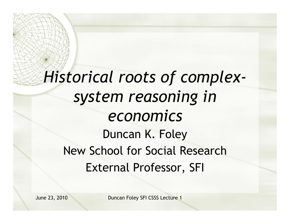#### *Historical roots of complexsystem reasoning in economics*  Duncan K. Foley New School for Social Research External Professor, SFI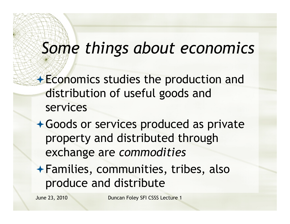### *Some things about economics*

- **Economics studies the production and** distribution of useful goods and services
- Goods or services produced as private property and distributed through exchange are *commodities*
- Families, communities, tribes, also produce and distribute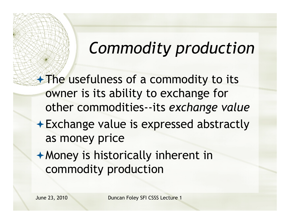#### *Commodity production*

**The usefulness of a commodity to its** owner is its ability to exchange for other commodities--its *exchange value*  Exchange value is expressed abstractly as money price Money is historically inherent in commodity production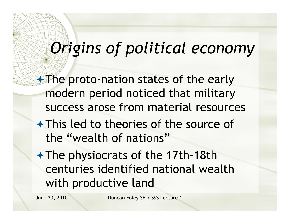### *Origins of political economy*

**The proto-nation states of the early** modern period noticed that military success arose from material resources

- This led to theories of the source of the "wealth of nations"
- $\rightarrow$  The physiocrats of the 17th-18th centuries identified national wealth with productive land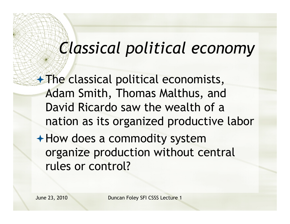### *Classical political economy*

**The classical political economists,** Adam Smith, Thomas Malthus, and David Ricardo saw the wealth of a nation as its organized productive labor How does a commodity system organize production without central rules or control?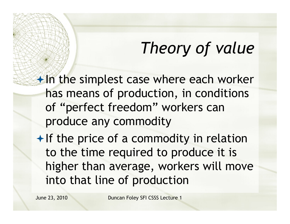#### *Theory of value*

 $\bigstar$  In the simplest case where each worker has means of production, in conditions of "perfect freedom" workers can produce any commodity

 $\bigstar$  If the price of a commodity in relation to the time required to produce it is higher than average, workers will move into that line of production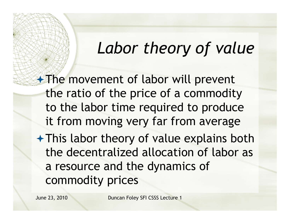#### *Labor theory of value*

**The movement of labor will prevent** the ratio of the price of a commodity to the labor time required to produce it from moving very far from average This labor theory of value explains both the decentralized allocation of labor as a resource and the dynamics of commodity prices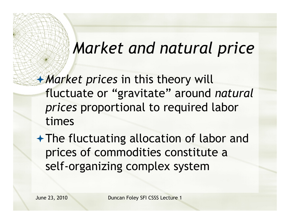#### *Market and natural price*

*Market prices* in this theory will fluctuate or "gravitate" around *natural prices* proportional to required labor times

The fluctuating allocation of labor and prices of commodities constitute a self-organizing complex system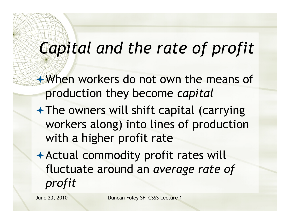## *Capital and the rate of profit*

When workers do not own the means of production they become *capital*

- $+$  The owners will shift capital (carrying workers along) into lines of production with a higher profit rate
- Actual commodity profit rates will fluctuate around an *average rate of profit*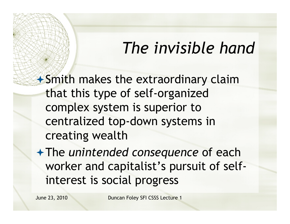#### *The invisible hand*

Smith makes the extraordinary claim that this type of self-organized complex system is superior to centralized top-down systems in creating wealth

The *unintended consequence* of each worker and capitalist's pursuit of selfinterest is social progress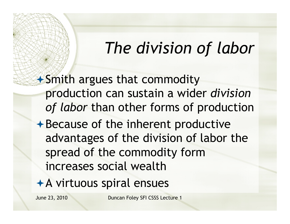#### *The division of labor*

Smith argues that commodity production can sustain a wider *division of labor* than other forms of production  $\rightarrow$  Because of the inherent productive advantages of the division of labor the spread of the commodity form increases social wealth

A virtuous spiral ensues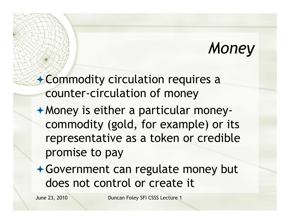#### *Money*

Commodity circulation requires a counter-circulation of money

- Money is either a particular moneycommodity (gold, for example) or its representative as a token or credible promise to pay
- Government can regulate money but does not control or create it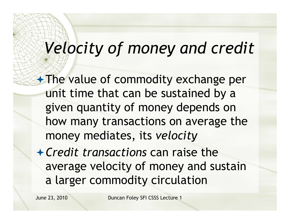# *Velocity of money and credit*

**The value of commodity exchange per** unit time that can be sustained by a given quantity of money depends on how many transactions on average the money mediates, its *velocity*

*Credit transactions* can raise the average velocity of money and sustain a larger commodity circulation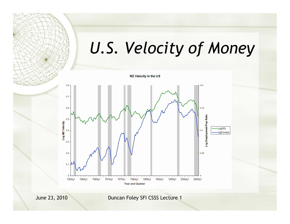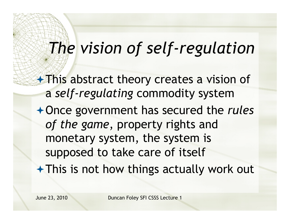### *The vision of self-regulation*

**This abstract theory creates a vision of** a *self-regulating* commodity system

Once government has secured the *rules of the game*, property rights and monetary system, the system is supposed to take care of itself

This is not how things actually work out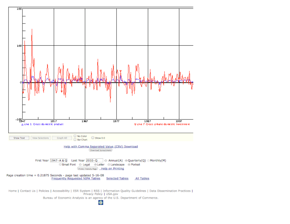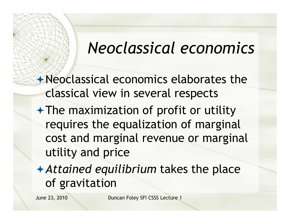#### *Neoclassical economics*

Neoclassical economics elaborates the classical view in several respects

- $\rightarrow$  The maximization of profit or utility requires the equalization of marginal cost and marginal revenue or marginal utility and price
- *Attained equilibrium* takes the place of gravitation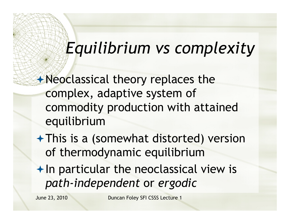### *Equilibrium vs complexity*

Neoclassical theory replaces the complex, adaptive system of commodity production with attained equilibrium

- This is a (somewhat distorted) version of thermodynamic equilibrium
- $+$  In particular the neoclassical view is *path-independent* or *ergodic*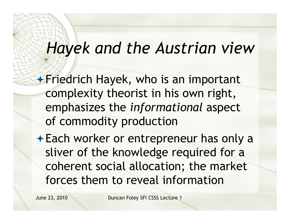#### *Hayek and the Austrian view*

**Friedrich Hayek, who is an important** complexity theorist in his own right, emphasizes the *informational* aspect of commodity production

Each worker or entrepreneur has only a sliver of the knowledge required for a coherent social allocation; the market forces them to reveal information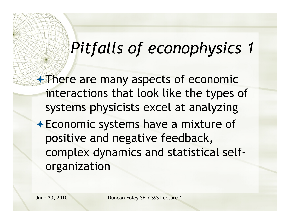**There are many aspects of economic** interactions that look like the types of systems physicists excel at analyzing Economic systems have a mixture of positive and negative feedback, complex dynamics and statistical selforganization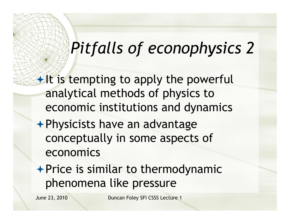$\bigstar$  It is tempting to apply the powerful analytical methods of physics to economic institutions and dynamics

- Physicists have an advantage conceptually in some aspects of economics
- $\rightarrow$  Price is similar to thermodynamic phenomena like pressure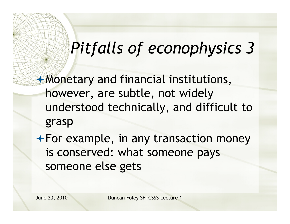Monetary and financial institutions, however, are subtle, not widely understood technically, and difficult to grasp

For example, in any transaction money is conserved: what someone pays someone else gets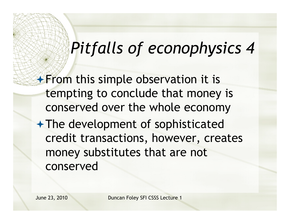**From this simple observation it is** tempting to conclude that money is conserved over the whole economy

The development of sophisticated credit transactions, however, creates money substitutes that are not conserved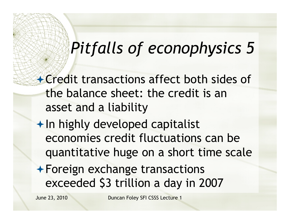Credit transactions affect both sides of the balance sheet: the credit is an asset and a liability

 $+$  In highly developed capitalist economies credit fluctuations can be quantitative huge on a short time scale

Foreign exchange transactions exceeded \$3 trillion a day in 2007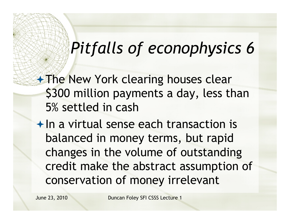**The New York clearing houses clear** \$300 million payments a day, less than 5% settled in cash

 $\bigstar$  In a virtual sense each transaction is balanced in money terms, but rapid changes in the volume of outstanding credit make the abstract assumption of conservation of money irrelevant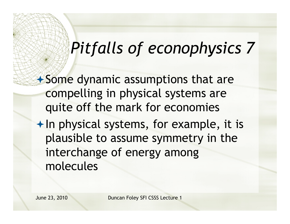Some dynamic assumptions that are compelling in physical systems are quite off the mark for economies  $+$  In physical systems, for example, it is plausible to assume symmetry in the interchange of energy among molecules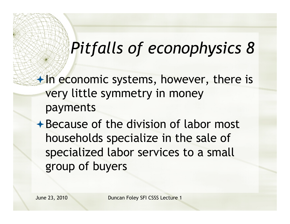$\bigstar$  In economic systems, however, there is very little symmetry in money payments

**★Because of the division of labor most** households specialize in the sale of specialized labor services to a small group of buyers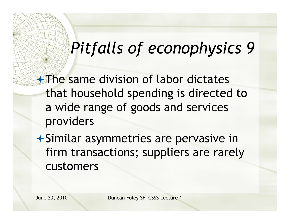**+The same division of labor dictates** that household spending is directed to a wide range of goods and services providers

 $\rightarrow$  Similar asymmetries are pervasive in firm transactions; suppliers are rarely customers